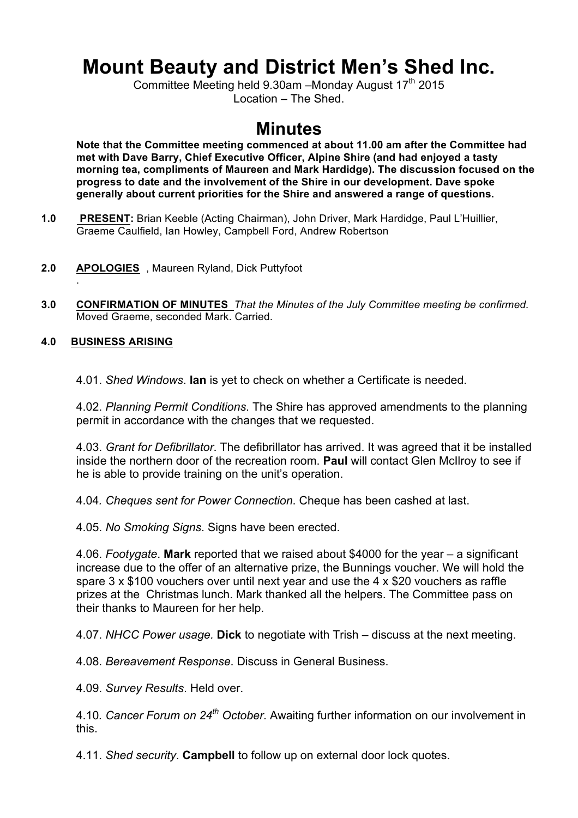# **Mount Beauty and District Men's Shed Inc.**

Committee Meeting held 9.30am -Monday August 17<sup>th</sup> 2015 Location – The Shed.

## **Minutes**

**Note that the Committee meeting commenced at about 11.00 am after the Committee had met with Dave Barry, Chief Executive Officer, Alpine Shire (and had enjoyed a tasty morning tea, compliments of Maureen and Mark Hardidge). The discussion focused on the progress to date and the involvement of the Shire in our development. Dave spoke generally about current priorities for the Shire and answered a range of questions.**

- **1.0 PRESENT:** Brian Keeble (Acting Chairman), John Driver, Mark Hardidge, Paul L'Huillier, Graeme Caulfield, Ian Howley, Campbell Ford, Andrew Robertson
- **2.0 APOLOGIES** , Maureen Ryland, Dick Puttyfoot
- **3.0 CONFIRMATION OF MINUTES** *That the Minutes of the July Committee meeting be confirmed.*  Moved Graeme, seconded Mark. Carried.

#### **4.0 BUSINESS ARISING**

.

4.01. *Shed Windows*. **Ian** is yet to check on whether a Certificate is needed.

4.02. *Planning Permit Conditions*. The Shire has approved amendments to the planning permit in accordance with the changes that we requested.

4.03. *Grant for Defibrillator*. The defibrillator has arrived. It was agreed that it be installed inside the northern door of the recreation room. **Paul** will contact Glen McIlroy to see if he is able to provide training on the unit's operation.

4.04*. Cheques sent for Power Connection*. Cheque has been cashed at last.

4.05. *No Smoking Signs*. Signs have been erected.

4.06. *Footygate*. **Mark** reported that we raised about \$4000 for the year – a significant increase due to the offer of an alternative prize, the Bunnings voucher. We will hold the spare 3 x \$100 vouchers over until next year and use the 4 x \$20 vouchers as raffle prizes at the Christmas lunch. Mark thanked all the helpers. The Committee pass on their thanks to Maureen for her help.

4.07. *NHCC Power usage.* **Dick** to negotiate with Trish – discuss at the next meeting.

4.08. *Bereavement Response*. Discuss in General Business.

4.09. *Survey Results*. Held over.

4.10*. Cancer Forum on 24th October*. Awaiting further information on our involvement in this.

4.11. *Shed security*. **Campbell** to follow up on external door lock quotes.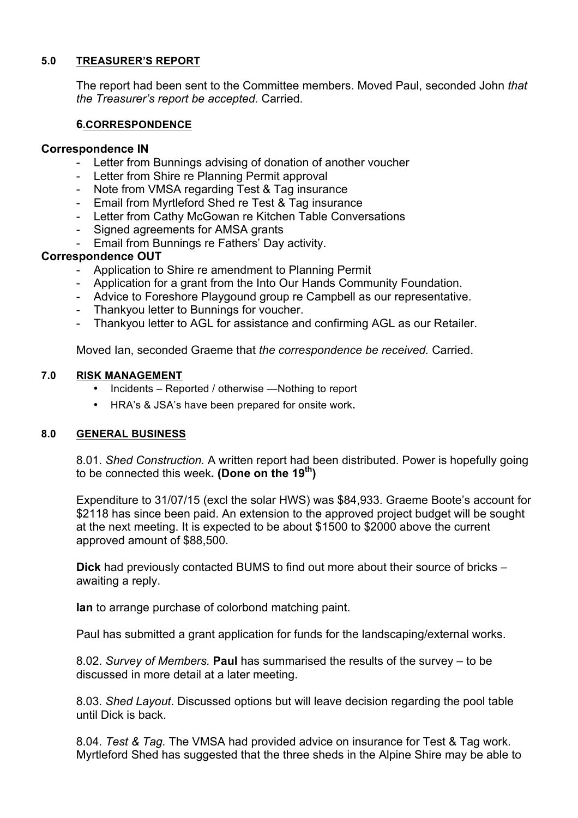#### **5.0 TREASURER'S REPORT**

The report had been sent to the Committee members. Moved Paul, seconded John *that the Treasurer's report be accepted.* Carried.

#### **6.CORRESPONDENCE**

#### **Correspondence IN**

- Letter from Bunnings advising of donation of another voucher
- Letter from Shire re Planning Permit approval
- Note from VMSA regarding Test & Tag insurance
- Email from Myrtleford Shed re Test & Tag insurance
- Letter from Cathy McGowan re Kitchen Table Conversations
- Signed agreements for AMSA grants
- Email from Bunnings re Fathers' Day activity.

#### **Correspondence OUT**

- Application to Shire re amendment to Planning Permit
- Application for a grant from the Into Our Hands Community Foundation.
- Advice to Foreshore Playgound group re Campbell as our representative.
- Thankyou letter to Bunnings for voucher.
- Thankyou letter to AGL for assistance and confirming AGL as our Retailer.

Moved Ian, seconded Graeme that *the correspondence be received.* Carried.

#### **7.0 RISK MANAGEMENT**

- Incidents Reported / otherwise —Nothing to report
- HRA's & JSA's have been prepared for onsite work**.**

#### **8.0 GENERAL BUSINESS**

8.01. *Shed Construction.* A written report had been distributed. Power is hopefully going to be connected this week**. (Done on the 19th)**

Expenditure to 31/07/15 (excl the solar HWS) was \$84,933. Graeme Boote's account for \$2118 has since been paid. An extension to the approved project budget will be sought at the next meeting. It is expected to be about \$1500 to \$2000 above the current approved amount of \$88,500.

**Dick** had previously contacted BUMS to find out more about their source of bricks – awaiting a reply.

**Ian** to arrange purchase of colorbond matching paint.

Paul has submitted a grant application for funds for the landscaping/external works.

8.02. *Survey of Members.* **Paul** has summarised the results of the survey – to be discussed in more detail at a later meeting.

8.03. *Shed Layout*. Discussed options but will leave decision regarding the pool table until Dick is back.

8.04. *Test & Tag.* The VMSA had provided advice on insurance for Test & Tag work. Myrtleford Shed has suggested that the three sheds in the Alpine Shire may be able to